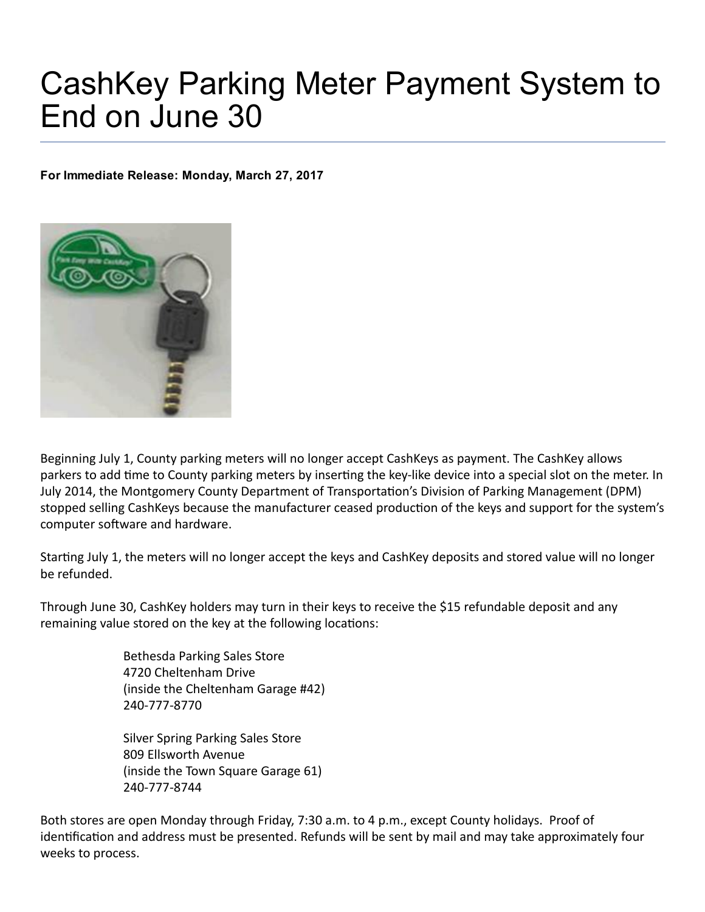## CashKey Parking Meter Payment System to End on June 30

For Immediate Release: Monday, March 27, 2017



Beginning July 1, County parking meters will no longer accept CashKeys as payment. The CashKey allows parkers to add time to County parking meters by inserting the key-like device into a special slot on the meter. In July 2014, the Montgomery County Department of Transportation's Division of Parking Management (DPM) stopped selling CashKeys because the manufacturer ceased production of the keys and support for the system's computer software and hardware.

Starting July 1, the meters will no longer accept the keys and CashKey deposits and stored value will no longer be refunded.

Through June 30, CashKey holders may turn in their keys to receive the \$15 refundable deposit and any remaining value stored on the key at the following locations:

> Bethesda Parking Sales Store 4720 Cheltenham Drive (inside the Cheltenham Garage #42) 240‐777‐8770

Silver Spring Parking Sales Store 809 Ellsworth Avenue (inside the Town Square Garage 61) 240‐777‐8744

Both stores are open Monday through Friday, 7:30 a.m. to 4 p.m., except County holidays. Proof of identification and address must be presented. Refunds will be sent by mail and may take approximately four weeks to process.